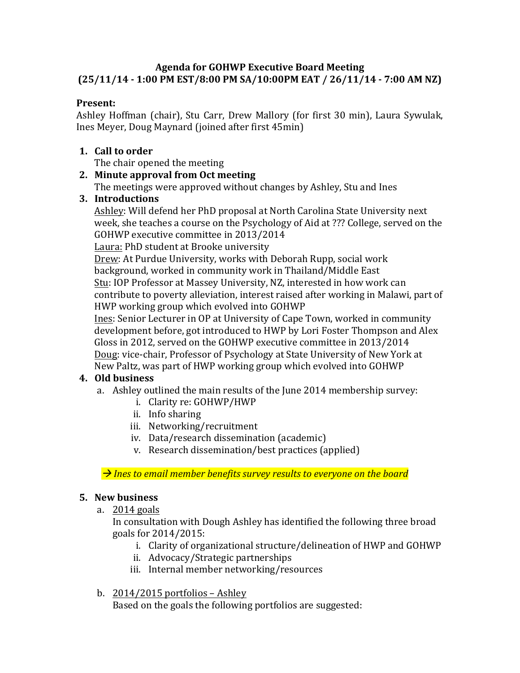## **Agenda for GOHWP Executive Board Meeting (25/11/14 - 1:00 PM EST/8:00 PM SA/10:00PM EAT / 26/11/14 - 7:00 AM NZ)**

### **Present:**

Ashley Hoffman (chair), Stu Carr, Drew Mallory (for first 30 min), Laura Sywulak, Ines Meyer, Doug Maynard (joined after first 45min)

## **1. Call to order**

The chair opened the meeting

## **2. Minute approval from Oct meeting**

The meetings were approved without changes by Ashley, Stu and Ines

## **3. Introductions**

Ashley: Will defend her PhD proposal at North Carolina State University next week, she teaches a course on the Psychology of Aid at ??? College, served on the GOHWP executive committee in 2013/2014

Laura: PhD student at Brooke university

Drew: At Purdue University, works with Deborah Rupp, social work background, worked in community work in Thailand/Middle East Stu: IOP Professor at Massey University, NZ, interested in how work can contribute to poverty alleviation, interest raised after working in Malawi, part of HWP working group which evolved into GOHWP

Ines: Senior Lecturer in OP at University of Cape Town, worked in community development before, got introduced to HWP by Lori Foster Thompson and Alex Gloss in 2012, served on the GOHWP executive committee in 2013/2014 Doug: vice-chair, Professor of Psychology at State University of New York at New Paltz, was part of HWP working group which evolved into GOHWP

## **4. Old business**

- a. Ashley outlined the main results of the June 2014 membership survey:
	- i. Clarity re: GOHWP/HWP
	- ii. Info sharing
	- iii. Networking/recruitment
	- iv. Data/research dissemination (academic)
	- v. Research dissemination/best practices (applied)

 $\rightarrow$  *Ines to email member benefits survey results to everyone on the board* 

#### **5. New business**

a.  $2014$  goals

In consultation with Dough Ashley has identified the following three broad goals for 2014/2015:

- i. Clarity of organizational structure/delineation of HWP and GOHWP
- ii. Advocacy/Strategic partnerships
- iii. Internal member networking/resources
- b.  $2014/2015$  portfolios Ashley

Based on the goals the following portfolios are suggested: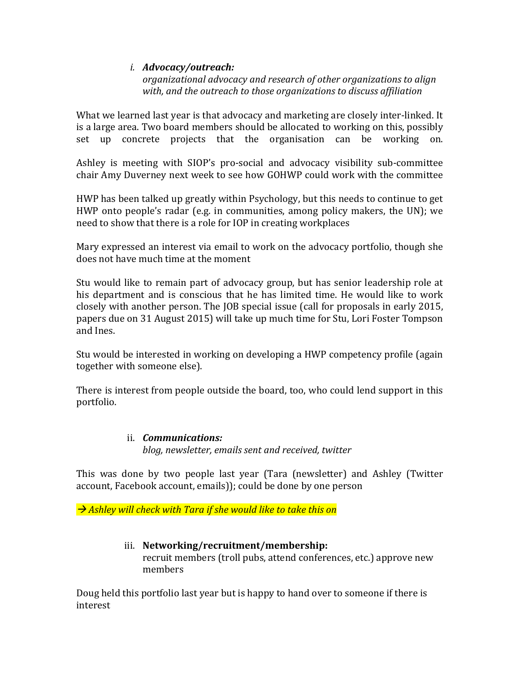### *i. Advocacy/outreach:*

*organizational advocacy and research of other organizations to align* with, and the outreach to those organizations to discuss affiliation

What we learned last year is that advocacy and marketing are closely inter-linked. It is a large area. Two board members should be allocated to working on this, possibly set up concrete projects that the organisation can be working on.

Ashley is meeting with SIOP's pro-social and advocacy visibility sub-committee chair Amy Duverney next week to see how GOHWP could work with the committee

HWP has been talked up greatly within Psychology, but this needs to continue to get HWP onto people's radar (e.g. in communities, among policy makers, the UN); we need to show that there is a role for IOP in creating workplaces

Mary expressed an interest via email to work on the advocacy portfolio, though she does not have much time at the moment

Stu would like to remain part of advocacy group, but has senior leadership role at his department and is conscious that he has limited time. He would like to work closely with another person. The JOB special issue (call for proposals in early 2015, papers due on 31 August 2015) will take up much time for Stu, Lori Foster Tompson and Ines.

Stu would be interested in working on developing a HWP competency profile (again together with someone else).

There is interest from people outside the board, too, who could lend support in this portfolio.

## ii. *Communications: blog, newsletter, emails sent and received, twitter*

This was done by two people last year (Tara (newsletter) and Ashley (Twitter account, Facebook account, emails)); could be done by one person

 $\rightarrow$  Ashley will check with Tara if she would like to take this on

### iii. **Networking/recruitment/membership:** recruit members (troll pubs, attend conferences, etc.) approve new members

Doug held this portfolio last year but is happy to hand over to someone if there is interest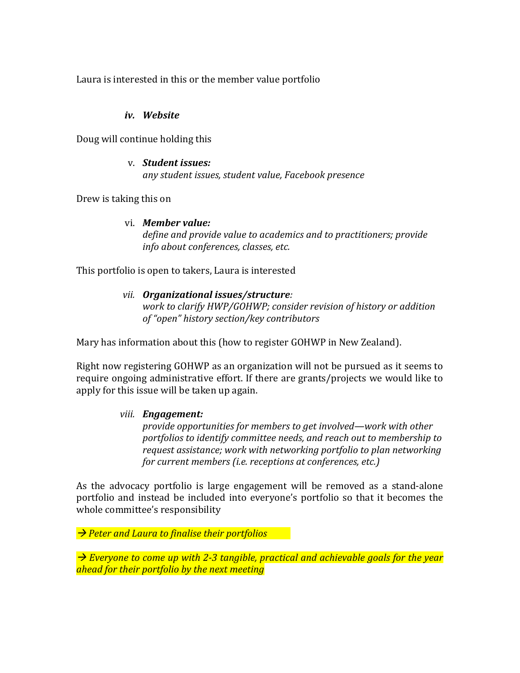Laura is interested in this or the member value portfolio

#### *iv. Website*

Doug will continue holding this

## v. *Student issues: any student issues, student value, Facebook presence*

Drew is taking this on

### vi. **Member value:**

define and provide value to academics and to practitioners; provide *info about conferences, classes, etc.*

This portfolio is open to takers, Laura is interested

## *vii.* Organizational issues/structure:

*work to clarify HWP/GOHWP; consider revision of history or addition of "open" history section/key contributors*

Mary has information about this (how to register GOHWP in New Zealand).

Right now registering GOHWP as an organization will not be pursued as it seems to require ongoing administrative effort. If there are grants/projects we would like to apply for this issue will be taken up again.

## *viii. Engagement:*

*provide opportunities for members to get involved—work with other* portfolios to *identify* committee needs, and reach out to membership to *request assistance;* work with networking portfolio to plan networking *for current members (i.e. receptions at conferences, etc.)* 

As the advocacy portfolio is large engagement will be removed as a stand-alone portfolio and instead be included into everyone's portfolio so that it becomes the whole committee's responsibility

**→ Peter and Laura to finalise their portfolios** 

 $\rightarrow$  Everyone to come up with 2-3 tangible, practical and achievable goals for the year *ahead for their portfolio by the next meeting*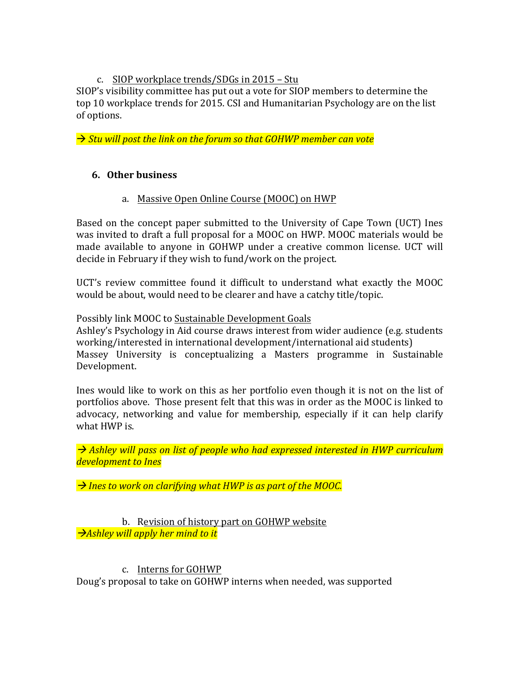### c. SIOP workplace trends/SDGs in 2015 - Stu

SIOP's visibility committee has put out a vote for SIOP members to determine the top 10 workplace trends for 2015. CSI and Humanitarian Psychology are on the list of options.

→ *Stu will post the link on the forum so that GOHWP member can vote* 

## **6. Other business**

### a. Massive Open Online Course (MOOC) on HWP

Based on the concept paper submitted to the University of Cape Town (UCT) Ines was invited to draft a full proposal for a MOOC on HWP. MOOC materials would be made available to anyone in GOHWP under a creative common license. UCT will decide in February if they wish to fund/work on the project.

UCT's review committee found it difficult to understand what exactly the MOOC would be about, would need to be clearer and have a catchy title/topic.

Possibly link MOOC to Sustainable Development Goals

Ashley's Psychology in Aid course draws interest from wider audience (e.g. students working/interested in international development/international aid students) Massey University is conceptualizing a Masters programme in Sustainable Development.

Ines would like to work on this as her portfolio even though it is not on the list of portfolios above. Those present felt that this was in order as the MOOC is linked to advocacy, networking and value for membership, especially if it can help clarify what HWP is.

→ Ashley will pass on list of people who had expressed interested in HWP curriculum *development to Ines* 

→ *Ines to work on clarifying what HWP is as part of the MOOC.* 

#### b. Revision of history part on GOHWP website  $\rightarrow$ Ashley will apply her mind to it

#### c. Interns for GOHWP

Doug's proposal to take on GOHWP interns when needed, was supported